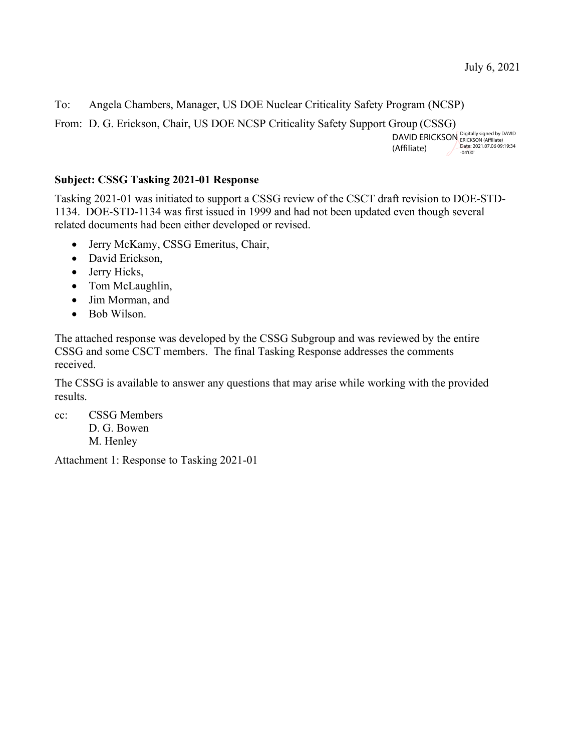To: Angela Chambers, Manager, US DOE Nuclear Criticality Safety Program (NCSP)

From: D. G. Erickson, Chair, US DOE NCSP Criticality Safety Support Group (CSSG)

DAVID ERICKSON ERICKSON (Affiliate)<br>(Affiliate) Date: 2021.07.06 09:19:34 (Affiliate) -04'00'

#### **Subject: CSSG Tasking 2021-01 Response**

Tasking 2021-01 was initiated to support a CSSG review of the CSCT draft revision to DOE-STD-1134. DOE-STD-1134 was first issued in 1999 and had not been updated even though several related documents had been either developed or revised.

- Jerry McKamy, CSSG Emeritus, Chair,
- David Erickson,
- Jerry Hicks,
- Tom McLaughlin,
- Jim Morman, and
- Bob Wilson.

The attached response was developed by the CSSG Subgroup and was reviewed by the entire CSSG and some CSCT members. The final Tasking Response addresses the comments received.

The CSSG is available to answer any questions that may arise while working with the provided results.

cc: CSSG Members D. G. Bowen M. Henley

Attachment 1: Response to Tasking 2021-01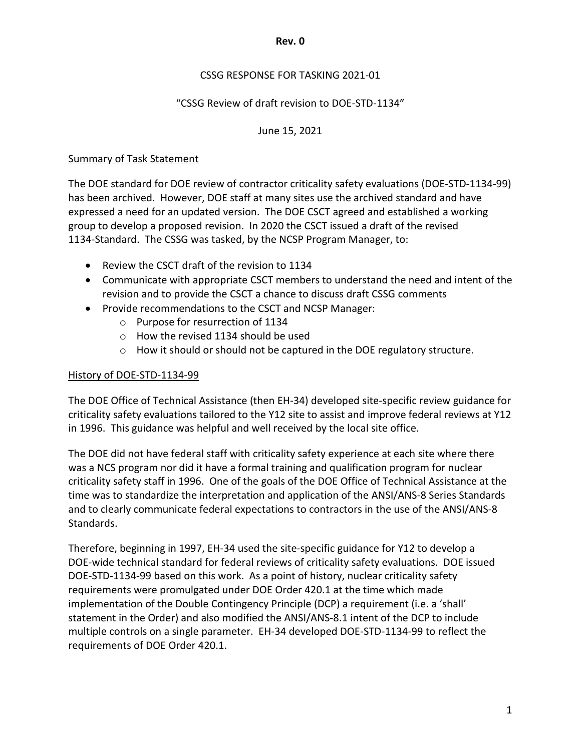#### **Rev. 0**

## CSSG RESPONSE FOR TASKING 2021-01

### "CSSG Review of draft revision to DOE-STD-1134"

### June 15, 2021

#### Summary of Task Statement

The DOE standard for DOE review of contractor criticality safety evaluations (DOE-STD-1134-99) has been archived. However, DOE staff at many sites use the archived standard and have expressed a need for an updated version. The DOE CSCT agreed and established a working group to develop a proposed revision. In 2020 the CSCT issued a draft of the revised 1134-Standard. The CSSG was tasked, by the NCSP Program Manager, to:

- Review the CSCT draft of the revision to 1134
- Communicate with appropriate CSCT members to understand the need and intent of the revision and to provide the CSCT a chance to discuss draft CSSG comments
- Provide recommendations to the CSCT and NCSP Manager:
	- o Purpose for resurrection of 1134
	- o How the revised 1134 should be used
	- o How it should or should not be captured in the DOE regulatory structure.

### History of DOE-STD-1134-99

The DOE Office of Technical Assistance (then EH-34) developed site-specific review guidance for criticality safety evaluations tailored to the Y12 site to assist and improve federal reviews at Y12 in 1996. This guidance was helpful and well received by the local site office.

The DOE did not have federal staff with criticality safety experience at each site where there was a NCS program nor did it have a formal training and qualification program for nuclear criticality safety staff in 1996. One of the goals of the DOE Office of Technical Assistance at the time was to standardize the interpretation and application of the ANSI/ANS-8 Series Standards and to clearly communicate federal expectations to contractors in the use of the ANSI/ANS-8 Standards.

Therefore, beginning in 1997, EH-34 used the site-specific guidance for Y12 to develop a DOE-wide technical standard for federal reviews of criticality safety evaluations. DOE issued DOE-STD-1134-99 based on this work. As a point of history, nuclear criticality safety requirements were promulgated under DOE Order 420.1 at the time which made implementation of the Double Contingency Principle (DCP) a requirement (i.e. a 'shall' statement in the Order) and also modified the ANSI/ANS-8.1 intent of the DCP to include multiple controls on a single parameter. EH-34 developed DOE-STD-1134-99 to reflect the requirements of DOE Order 420.1.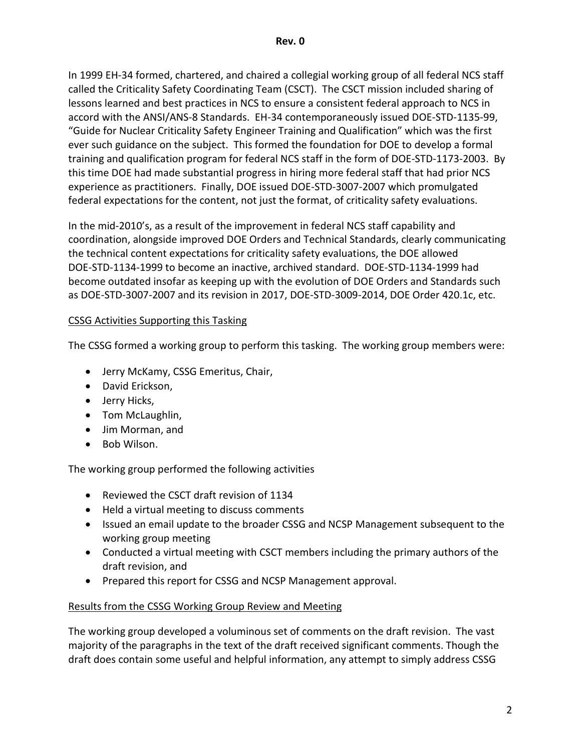In 1999 EH-34 formed, chartered, and chaired a collegial working group of all federal NCS staff called the Criticality Safety Coordinating Team (CSCT). The CSCT mission included sharing of lessons learned and best practices in NCS to ensure a consistent federal approach to NCS in accord with the ANSI/ANS-8 Standards. EH-34 contemporaneously issued DOE-STD-1135-99, "Guide for Nuclear Criticality Safety Engineer Training and Qualification" which was the first ever such guidance on the subject. This formed the foundation for DOE to develop a formal training and qualification program for federal NCS staff in the form of DOE-STD-1173-2003. By this time DOE had made substantial progress in hiring more federal staff that had prior NCS experience as practitioners. Finally, DOE issued DOE-STD-3007-2007 which promulgated federal expectations for the content, not just the format, of criticality safety evaluations.

In the mid-2010's, as a result of the improvement in federal NCS staff capability and coordination, alongside improved DOE Orders and Technical Standards, clearly communicating the technical content expectations for criticality safety evaluations, the DOE allowed DOE-STD-1134-1999 to become an inactive, archived standard. DOE-STD-1134-1999 had become outdated insofar as keeping up with the evolution of DOE Orders and Standards such as DOE-STD-3007-2007 and its revision in 2017, DOE-STD-3009-2014, DOE Order 420.1c, etc.

## CSSG Activities Supporting this Tasking

The CSSG formed a working group to perform this tasking. The working group members were:

- Jerry McKamy, CSSG Emeritus, Chair,
- David Erickson,
- Jerry Hicks,
- Tom McLaughlin,
- Jim Morman, and
- Bob Wilson.

The working group performed the following activities

- Reviewed the CSCT draft revision of 1134
- Held a virtual meeting to discuss comments
- Issued an email update to the broader CSSG and NCSP Management subsequent to the working group meeting
- Conducted a virtual meeting with CSCT members including the primary authors of the draft revision, and
- Prepared this report for CSSG and NCSP Management approval.

# Results from the CSSG Working Group Review and Meeting

The working group developed a voluminous set of comments on the draft revision. The vast majority of the paragraphs in the text of the draft received significant comments. Though the draft does contain some useful and helpful information, any attempt to simply address CSSG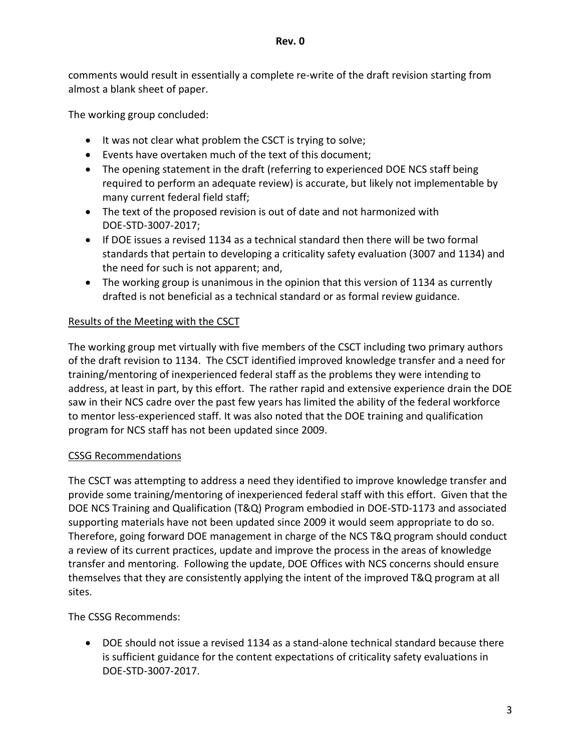comments would result in essentially a complete re-write of the draft revision starting from almost a blank sheet of paper.

The working group concluded:

- It was not clear what problem the CSCT is trying to solve;
- Events have overtaken much of the text of this document;
- The opening statement in the draft (referring to experienced DOE NCS staff being required to perform an adequate review) is accurate, but likely not implementable by many current federal field staff;
- The text of the proposed revision is out of date and not harmonized with DOE-STD-3007-2017;
- If DOE issues a revised 1134 as a technical standard then there will be two formal standards that pertain to developing a criticality safety evaluation (3007 and 1134) and the need for such is not apparent; and,
- The working group is unanimous in the opinion that this version of 1134 as currently drafted is not beneficial as a technical standard or as formal review guidance.

# Results of the Meeting with the CSCT

The working group met virtually with five members of the CSCT including two primary authors of the draft revision to 1134. The CSCT identified improved knowledge transfer and a need for training/mentoring of inexperienced federal staff as the problems they were intending to address, at least in part, by this effort. The rather rapid and extensive experience drain the DOE saw in their NCS cadre over the past few years has limited the ability of the federal workforce to mentor less-experienced staff. It was also noted that the DOE training and qualification program for NCS staff has not been updated since 2009.

# CSSG Recommendations

The CSCT was attempting to address a need they identified to improve knowledge transfer and provide some training/mentoring of inexperienced federal staff with this effort. Given that the DOE NCS Training and Qualification (T&Q) Program embodied in DOE-STD-1173 and associated supporting materials have not been updated since 2009 it would seem appropriate to do so. Therefore, going forward DOE management in charge of the NCS T&Q program should conduct a review of its current practices, update and improve the process in the areas of knowledge transfer and mentoring. Following the update, DOE Offices with NCS concerns should ensure themselves that they are consistently applying the intent of the improved T&Q program at all sites.

The CSSG Recommends:

• DOE should not issue a revised 1134 as a stand-alone technical standard because there is sufficient guidance for the content expectations of criticality safety evaluations in DOE-STD-3007-2017.